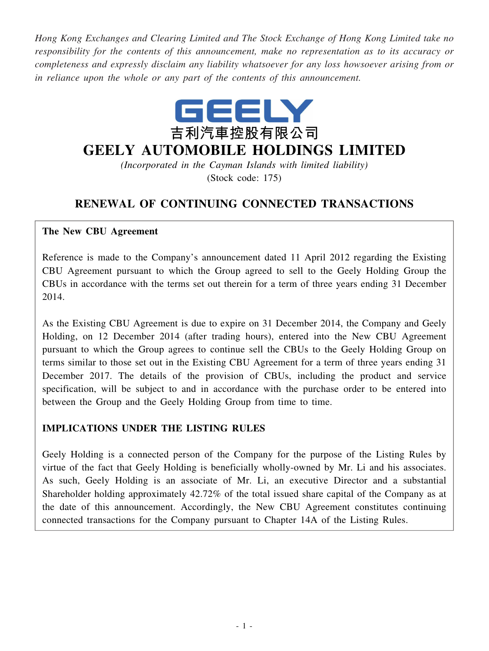*Hong Kong Exchanges and Clearing Limited and The Stock Exchange of Hong Kong Limited take no responsibility for the contents of this announcement, make no representation as to its accuracy or completeness and expressly disclaim any liability whatsoever for any loss howsoever arising from or in reliance upon the whole or any part of the contents of this announcement.*



# **GEELY AUTOMOBILE HOLDINGS LIMITED**

*(Incorporated in the Cayman Islands with limited liability)* (Stock code: 175)

## **RENEWAL OF CONTINUING CONNECTED TRANSACTIONS**

#### **The New CBU Agreement**

Reference is made to the Company's announcement dated 11 April 2012 regarding the Existing CBU Agreement pursuant to which the Group agreed to sell to the Geely Holding Group the CBUs in accordance with the terms set out therein for a term of three years ending 31 December 2014.

As the Existing CBU Agreement is due to expire on 31 December 2014, the Company and Geely Holding, on 12 December 2014 (after trading hours), entered into the New CBU Agreement pursuant to which the Group agrees to continue sell the CBUs to the Geely Holding Group on terms similar to those set out in the Existing CBU Agreement for a term of three years ending 31 December 2017. The details of the provision of CBUs, including the product and service specification, will be subject to and in accordance with the purchase order to be entered into between the Group and the Geely Holding Group from time to time.

### **IMPLICATIONS UNDER THE LISTING RULES**

Geely Holding is a connected person of the Company for the purpose of the Listing Rules by virtue of the fact that Geely Holding is beneficially wholly-owned by Mr. Li and his associates. As such, Geely Holding is an associate of Mr. Li, an executive Director and a substantial Shareholder holding approximately 42.72% of the total issued share capital of the Company as at the date of this announcement. Accordingly, the New CBU Agreement constitutes continuing connected transactions for the Company pursuant to Chapter 14A of the Listing Rules.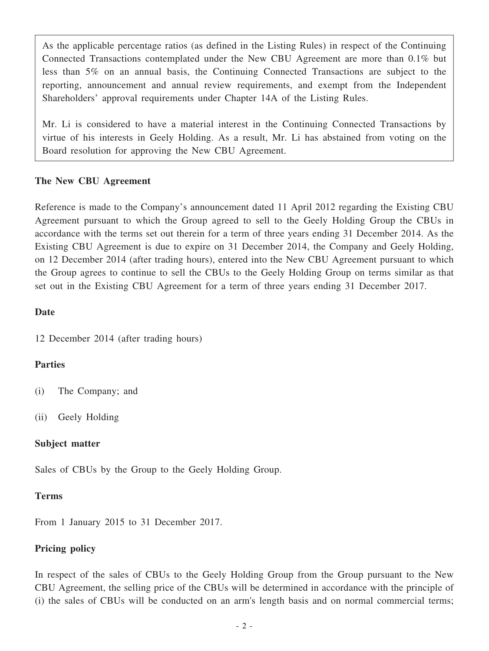As the applicable percentage ratios (as defined in the Listing Rules) in respect of the Continuing Connected Transactions contemplated under the New CBU Agreement are more than 0.1% but less than 5% on an annual basis, the Continuing Connected Transactions are subject to the reporting, announcement and annual review requirements, and exempt from the Independent Shareholders' approval requirements under Chapter 14A of the Listing Rules.

Mr. Li is considered to have a material interest in the Continuing Connected Transactions by virtue of his interests in Geely Holding. As a result, Mr. Li has abstained from voting on the Board resolution for approving the New CBU Agreement.

#### **The New CBU Agreement**

Reference is made to the Company's announcement dated 11 April 2012 regarding the Existing CBU Agreement pursuant to which the Group agreed to sell to the Geely Holding Group the CBUs in accordance with the terms set out therein for a term of three years ending 31 December 2014. As the Existing CBU Agreement is due to expire on 31 December 2014, the Company and Geely Holding, on 12 December 2014 (after trading hours), entered into the New CBU Agreement pursuant to which the Group agrees to continue to sell the CBUs to the Geely Holding Group on terms similar as that set out in the Existing CBU Agreement for a term of three years ending 31 December 2017.

#### **Date**

12 December 2014 (after trading hours)

### **Parties**

- (i) The Company; and
- (ii) Geely Holding

### **Subject matter**

Sales of CBUs by the Group to the Geely Holding Group.

### **Terms**

From 1 January 2015 to 31 December 2017.

### **Pricing policy**

In respect of the sales of CBUs to the Geely Holding Group from the Group pursuant to the New CBU Agreement, the selling price of the CBUs will be determined in accordance with the principle of (i) the sales of CBUs will be conducted on an arm's length basis and on normal commercial terms;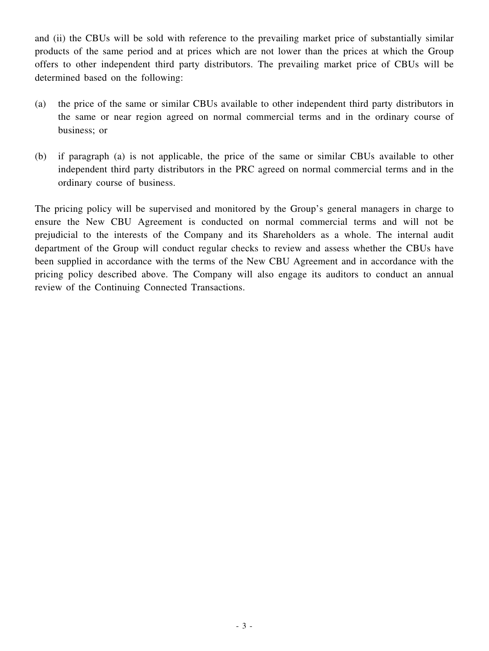and (ii) the CBUs will be sold with reference to the prevailing market price of substantially similar products of the same period and at prices which are not lower than the prices at which the Group offers to other independent third party distributors. The prevailing market price of CBUs will be determined based on the following:

- (a) the price of the same or similar CBUs available to other independent third party distributors in the same or near region agreed on normal commercial terms and in the ordinary course of business; or
- (b) if paragraph (a) is not applicable, the price of the same or similar CBUs available to other independent third party distributors in the PRC agreed on normal commercial terms and in the ordinary course of business.

The pricing policy will be supervised and monitored by the Group's general managers in charge to ensure the New CBU Agreement is conducted on normal commercial terms and will not be prejudicial to the interests of the Company and its Shareholders as a whole. The internal audit department of the Group will conduct regular checks to review and assess whether the CBUs have been supplied in accordance with the terms of the New CBU Agreement and in accordance with the pricing policy described above. The Company will also engage its auditors to conduct an annual review of the Continuing Connected Transactions.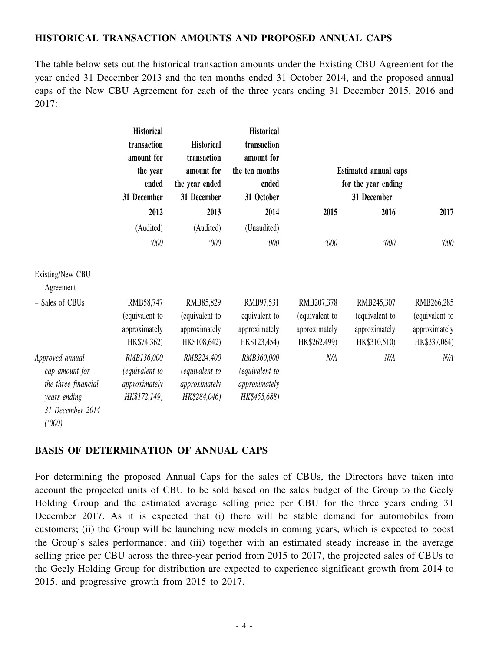### **HISTORICAL TRANSACTION AMOUNTS AND PROPOSED ANNUAL CAPS**

The table below sets out the historical transaction amounts under the Existing CBU Agreement for the year ended 31 December 2013 and the ten months ended 31 October 2014, and the proposed annual caps of the New CBU Agreement for each of the three years ending 31 December 2015, 2016 and 2017:

|                                                                                                        | <b>Historical</b><br>transaction<br>amount for<br>the year<br>ended<br>31 December | <b>Historical</b><br>transaction<br>amount for<br>the year ended<br>31 December | <b>Historical</b><br>transaction<br>amount for<br>the ten months<br>ended<br>31 October | <b>Estimated annual caps</b><br>for the year ending<br>31 December |                                                               |                                                               |
|--------------------------------------------------------------------------------------------------------|------------------------------------------------------------------------------------|---------------------------------------------------------------------------------|-----------------------------------------------------------------------------------------|--------------------------------------------------------------------|---------------------------------------------------------------|---------------------------------------------------------------|
|                                                                                                        | 2012                                                                               | 2013                                                                            | 2014                                                                                    | 2015                                                               | 2016                                                          | 2017                                                          |
|                                                                                                        | (Audited)<br>'000                                                                  | (Audited)<br>'000                                                               | (Unaudited)<br>'000                                                                     | '000                                                               | '000                                                          | '000                                                          |
| Existing/New CBU<br>Agreement                                                                          |                                                                                    |                                                                                 |                                                                                         |                                                                    |                                                               |                                                               |
| - Sales of CBUs                                                                                        | RMB58,747<br>(equivalent to<br>approximately<br>HK\$74,362)                        | RMB85,829<br>(equivalent to<br>approximately<br>HK\$108,642)                    | RMB97,531<br>equivalent to<br>approximately<br>HK\$123,454)                             | RMB207,378<br>(equivalent to<br>approximately<br>HK\$262,499)      | RMB245,307<br>(equivalent to<br>approximately<br>HK\$310,510) | RMB266,285<br>(equivalent to<br>approximately<br>HK\$337,064) |
| Approved annual<br>cap amount for<br>the three financial<br>years ending<br>31 December 2014<br>(1000) | RMB136,000<br>(equivalent to<br>approximately<br>HK\$172,149)                      | RMB224,400<br>(equivalent to<br>approximately<br>HK\$284,046)                   | RMB360,000<br>(equivalent to<br>approximately<br>HK\$455,688)                           | N/A                                                                | N/A                                                           | N/A                                                           |

#### **BASIS OF DETERMINATION OF ANNUAL CAPS**

For determining the proposed Annual Caps for the sales of CBUs, the Directors have taken into account the projected units of CBU to be sold based on the sales budget of the Group to the Geely Holding Group and the estimated average selling price per CBU for the three years ending 31 December 2017. As it is expected that (i) there will be stable demand for automobiles from customers; (ii) the Group will be launching new models in coming years, which is expected to boost the Group's sales performance; and (iii) together with an estimated steady increase in the average selling price per CBU across the three-year period from 2015 to 2017, the projected sales of CBUs to the Geely Holding Group for distribution are expected to experience significant growth from 2014 to 2015, and progressive growth from 2015 to 2017.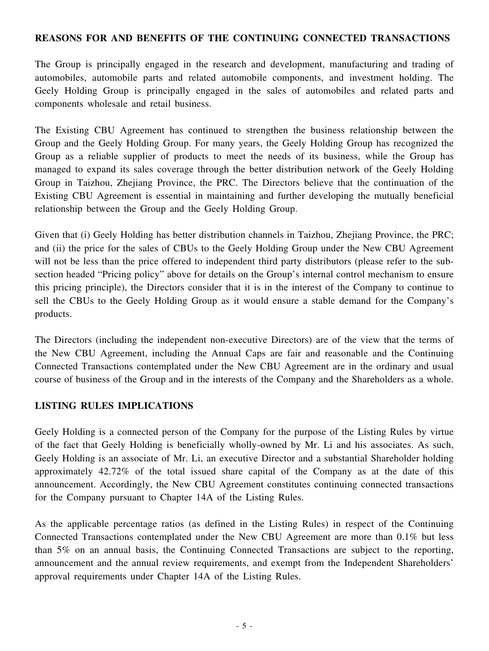#### **REASONS FOR AND BENEFITS OF THE CONTINUING CONNECTED TRANSACTIONS**

The Group is principally engaged in the research and development, manufacturing and trading of automobiles, automobile parts and related automobile components, and investment holding. The Geely Holding Group is principally engaged in the sales of automobiles and related parts and components wholesale and retail business.

The Existing CBU Agreement has continued to strengthen the business relationship between the Group and the Geely Holding Group. For many years, the Geely Holding Group has recognized the Group as a reliable supplier of products to meet the needs of its business, while the Group has managed to expand its sales coverage through the better distribution network of the Geely Holding Group in Taizhou, Zhejiang Province, the PRC. The Directors believe that the continuation of the Existing CBU Agreement is essential in maintaining and further developing the mutually beneficial relationship between the Group and the Geely Holding Group.

Given that (i) Geely Holding has better distribution channels in Taizhou, Zhejiang Province, the PRC; and (ii) the price for the sales of CBUs to the Geely Holding Group under the New CBU Agreement will not be less than the price offered to independent third party distributors (please refer to the subsection headed "Pricing policy" above for details on the Group's internal control mechanism to ensure this pricing principle), the Directors consider that it is in the interest of the Company to continue to sell the CBUs to the Geely Holding Group as it would ensure a stable demand for the Company's products.

The Directors (including the independent non-executive Directors) are of the view that the terms of the New CBU Agreement, including the Annual Caps are fair and reasonable and the Continuing Connected Transactions contemplated under the New CBU Agreement are in the ordinary and usual course of business of the Group and in the interests of the Company and the Shareholders as a whole.

### **LISTING RULES IMPLICATIONS**

Geely Holding is a connected person of the Company for the purpose of the Listing Rules by virtue of the fact that Geely Holding is beneficially wholly-owned by Mr. Li and his associates. As such, Geely Holding is an associate of Mr. Li, an executive Director and a substantial Shareholder holding approximately 42.72% of the total issued share capital of the Company as at the date of this announcement. Accordingly, the New CBU Agreement constitutes continuing connected transactions for the Company pursuant to Chapter 14A of the Listing Rules.

As the applicable percentage ratios (as defined in the Listing Rules) in respect of the Continuing Connected Transactions contemplated under the New CBU Agreement are more than 0.1% but less than 5% on an annual basis, the Continuing Connected Transactions are subject to the reporting, announcement and the annual review requirements, and exempt from the Independent Shareholders' approval requirements under Chapter 14A of the Listing Rules.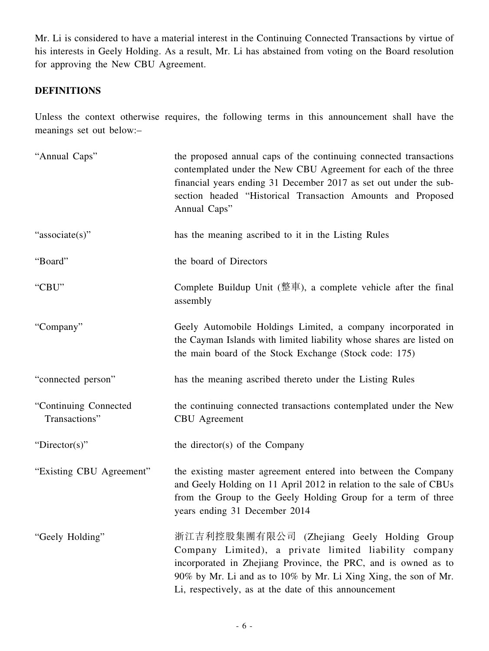Mr. Li is considered to have a material interest in the Continuing Connected Transactions by virtue of his interests in Geely Holding. As a result, Mr. Li has abstained from voting on the Board resolution for approving the New CBU Agreement.

### **DEFINITIONS**

Unless the context otherwise requires, the following terms in this announcement shall have the meanings set out below:–

| "Annual Caps"                          | the proposed annual caps of the continuing connected transactions<br>contemplated under the New CBU Agreement for each of the three<br>financial years ending 31 December 2017 as set out under the sub-<br>section headed "Historical Transaction Amounts and Proposed<br>Annual Caps"           |
|----------------------------------------|---------------------------------------------------------------------------------------------------------------------------------------------------------------------------------------------------------------------------------------------------------------------------------------------------|
| "associate(s)"                         | has the meaning ascribed to it in the Listing Rules                                                                                                                                                                                                                                               |
| "Board"                                | the board of Directors                                                                                                                                                                                                                                                                            |
| "CBU"                                  | Complete Buildup Unit (整車), a complete vehicle after the final<br>assembly                                                                                                                                                                                                                        |
| "Company"                              | Geely Automobile Holdings Limited, a company incorporated in<br>the Cayman Islands with limited liability whose shares are listed on<br>the main board of the Stock Exchange (Stock code: 175)                                                                                                    |
| "connected person"                     | has the meaning ascribed thereto under the Listing Rules                                                                                                                                                                                                                                          |
| "Continuing Connected<br>Transactions" | the continuing connected transactions contemplated under the New<br><b>CBU</b> Agreement                                                                                                                                                                                                          |
| "Director(s)"                          | the director(s) of the Company                                                                                                                                                                                                                                                                    |
| "Existing CBU Agreement"               | the existing master agreement entered into between the Company<br>and Geely Holding on 11 April 2012 in relation to the sale of CBUs<br>from the Group to the Geely Holding Group for a term of three<br>years ending 31 December 2014                                                            |
| "Geely Holding"                        | 浙江吉利控股集團有限公司 (Zhejiang Geely Holding Group<br>Company Limited), a private limited liability company<br>incorporated in Zhejiang Province, the PRC, and is owned as to<br>90% by Mr. Li and as to 10% by Mr. Li Xing Xing, the son of Mr.<br>Li, respectively, as at the date of this announcement |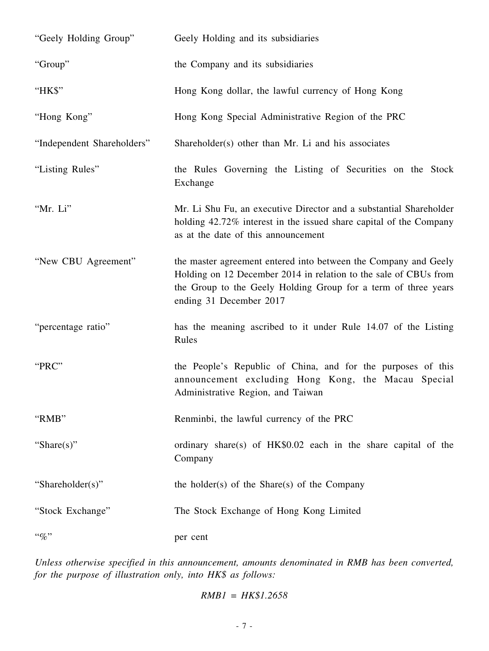| "Geely Holding Group"      | Geely Holding and its subsidiaries                                                                                                                                                                                               |
|----------------------------|----------------------------------------------------------------------------------------------------------------------------------------------------------------------------------------------------------------------------------|
| "Group"                    | the Company and its subsidiaries                                                                                                                                                                                                 |
| "HK\$"                     | Hong Kong dollar, the lawful currency of Hong Kong                                                                                                                                                                               |
| "Hong Kong"                | Hong Kong Special Administrative Region of the PRC                                                                                                                                                                               |
| "Independent Shareholders" | Shareholder(s) other than Mr. Li and his associates                                                                                                                                                                              |
| "Listing Rules"            | the Rules Governing the Listing of Securities on the Stock<br>Exchange                                                                                                                                                           |
| "Mr. Li"                   | Mr. Li Shu Fu, an executive Director and a substantial Shareholder<br>holding 42.72% interest in the issued share capital of the Company<br>as at the date of this announcement                                                  |
| "New CBU Agreement"        | the master agreement entered into between the Company and Geely<br>Holding on 12 December 2014 in relation to the sale of CBUs from<br>the Group to the Geely Holding Group for a term of three years<br>ending 31 December 2017 |
| "percentage ratio"         | has the meaning ascribed to it under Rule 14.07 of the Listing<br>Rules                                                                                                                                                          |
| "PRC"                      | the People's Republic of China, and for the purposes of this<br>announcement excluding Hong Kong, the Macau Special<br>Administrative Region, and Taiwan                                                                         |
| "RMB"                      | Renminbi, the lawful currency of the PRC                                                                                                                                                                                         |
| "Share $(s)$ "             | ordinary share(s) of HK\$0.02 each in the share capital of the<br>Company                                                                                                                                                        |
| "Shareholder(s)"           | the holder(s) of the Share(s) of the Company                                                                                                                                                                                     |
| "Stock Exchange"           | The Stock Exchange of Hong Kong Limited                                                                                                                                                                                          |
| $``\%"$                    | per cent                                                                                                                                                                                                                         |

*Unless otherwise specified in this announcement, amounts denominated in RMB has been converted, for the purpose of illustration only, into HK\$ as follows:*

*RMB1 = HK\$1.2658*